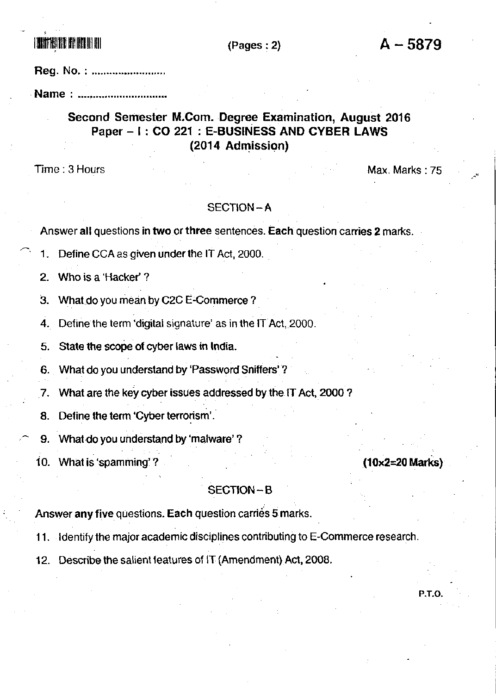**ITALIA BIB BATAN MENDELERI DENGAN BERKENALAH DENGAN BERKENALAH DENGAN BERKENALAH DENGAN BERKENALAH DENGAN BERK** 

## $(Pages: 2)$

Reg. No.: .........................

Name: .............................

# Second Semester M.Com. Degree Examination, August 2016 Paper - I: CO 221: E-BUSINESS AND CYBER LAWS (2014 Admission)

Time: 3 Hours

Max. Marks: 75

 $(10\times2=20$  Marks)

P.T.O.

### SECTION-A

Answer all questions in two or three sentences. Each question carries 2 marks.

Define CCA as given under the IT Act, 2000. 1.

Who is a 'Hacker'? 2.

З. What do you mean by C2C E-Commerce?

4. Define the term 'digital signature' as in the IT Act, 2000.

5. State the scope of cyber laws in India.

What do you understand by 'Password Sniffers'? 6.

What are the key cyber issues addressed by the IT Act, 2000? 7.

Define the term 'Cyber terrorism'. 8.

9. What do you understand by 'malware'?

10. What is 'spamming'?

## SECTION-B

Answer any five questions. Each question carries 5 marks.

11. Identify the major academic disciplines contributing to E-Commerce research.

12. Describe the salient features of IT (Amendment) Act, 2008.